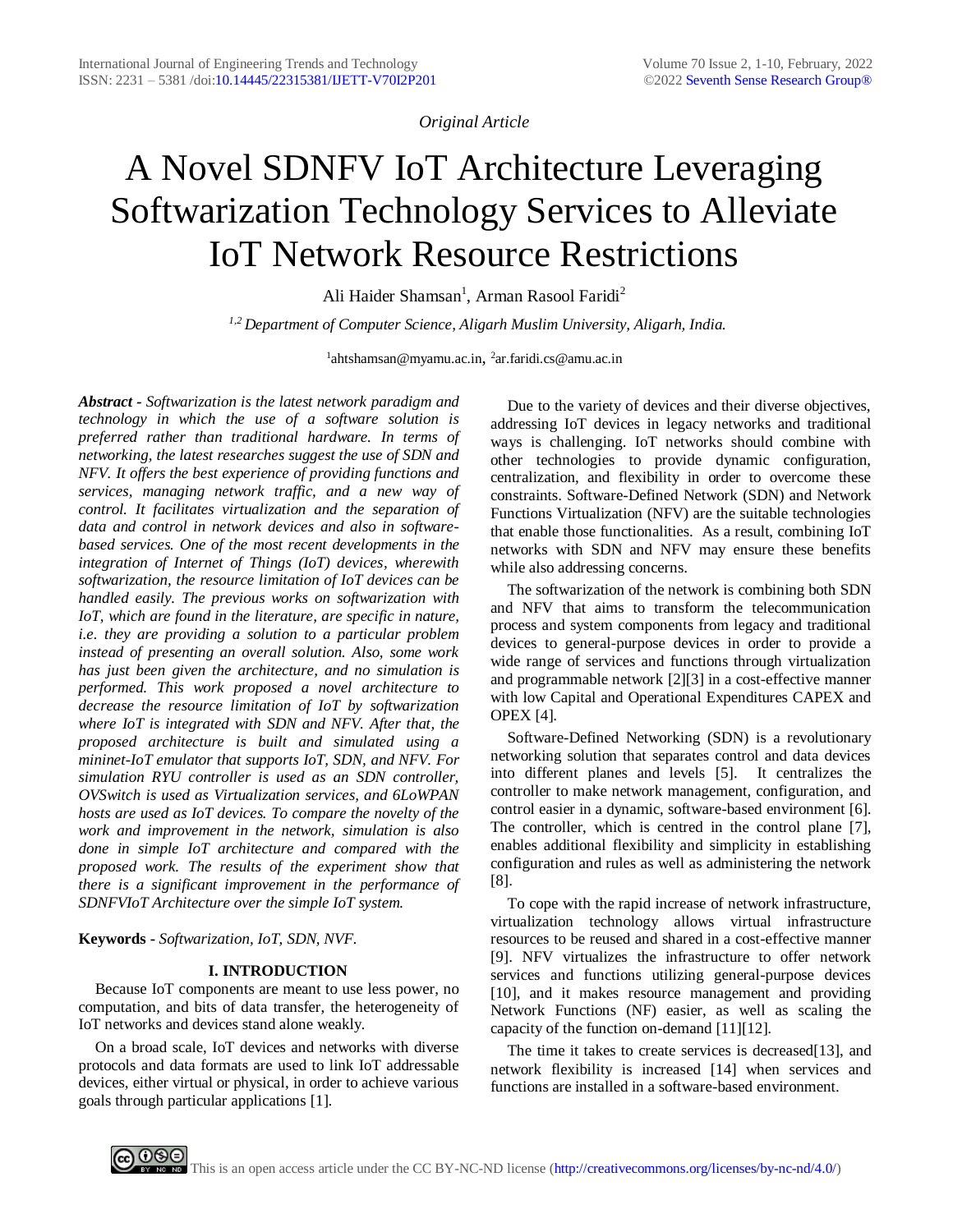*Original Article*

# A Novel SDNFV IoT Architecture Leveraging Softwarization Technology Services to Alleviate IoT Network Resource Restrictions

Ali Haider Shamsan<sup>1</sup>, Arman Rasool Faridi<sup>2</sup>

*1,2 Department of Computer Science, Aligarh Muslim University, Aligarh, India.*

<sup>1</sup>ahtshamsan@myamu.ac.in, <sup>2</sup>ar.faridi.cs@amu.ac.in

*Abstract - Softwarization is the latest network paradigm and technology in which the use of a software solution is preferred rather than traditional hardware. In terms of networking, the latest researches suggest the use of SDN and NFV. It offers the best experience of providing functions and services, managing network traffic, and a new way of control. It facilitates virtualization and the separation of data and control in network devices and also in softwarebased services. One of the most recent developments in the integration of Internet of Things (IoT) devices, wherewith softwarization, the resource limitation of IoT devices can be handled easily. The previous works on softwarization with IoT, which are found in the literature, are specific in nature, i.e. they are providing a solution to a particular problem instead of presenting an overall solution. Also, some work has just been given the architecture, and no simulation is performed. This work proposed a novel architecture to decrease the resource limitation of IoT by softwarization where IoT is integrated with SDN and NFV. After that, the proposed architecture is built and simulated using a mininet-IoT emulator that supports IoT, SDN, and NFV. For simulation RYU controller is used as an SDN controller, OVSwitch is used as Virtualization services, and 6LoWPAN hosts are used as IoT devices. To compare the novelty of the work and improvement in the network, simulation is also done in simple IoT architecture and compared with the proposed work. The results of the experiment show that there is a significant improvement in the performance of SDNFVIoT Architecture over the simple IoT system.*

**Keywords -** *Softwarization, IoT, SDN, NVF.*

## **I. INTRODUCTION**

Because IoT components are meant to use less power, no computation, and bits of data transfer, the heterogeneity of IoT networks and devices stand alone weakly.

On a broad scale, IoT devices and networks with diverse protocols and data formats are used to link IoT addressable devices, either virtual or physical, in order to achieve various goals through particular applications [1].

Due to the variety of devices and their diverse objectives, addressing IoT devices in legacy networks and traditional ways is challenging. IoT networks should combine with other technologies to provide dynamic configuration, centralization, and flexibility in order to overcome these constraints. Software-Defined Network (SDN) and Network Functions Virtualization (NFV) are the suitable technologies that enable those functionalities. As a result, combining IoT networks with SDN and NFV may ensure these benefits while also addressing concerns.

The softwarization of the network is combining both SDN and NFV that aims to transform the telecommunication process and system components from legacy and traditional devices to general-purpose devices in order to provide a wide range of services and functions through virtualization and programmable network [2][3] in a cost-effective manner with low Capital and Operational Expenditures CAPEX and OPEX [4].

Software-Defined Networking (SDN) is a revolutionary networking solution that separates control and data devices into different planes and levels [5]. It centralizes the controller to make network management, configuration, and control easier in a dynamic, software-based environment [6]. The controller, which is centred in the control plane [7], enables additional flexibility and simplicity in establishing configuration and rules as well as administering the network [8].

To cope with the rapid increase of network infrastructure, virtualization technology allows virtual infrastructure resources to be reused and shared in a cost-effective manner [9]. NFV virtualizes the infrastructure to offer network services and functions utilizing general-purpose devices [10], and it makes resource management and providing Network Functions (NF) easier, as well as scaling the capacity of the function on-demand [11][12].

The time it takes to create services is decreased[13], and network flexibility is increased [14] when services and functions are installed in a software-based environment.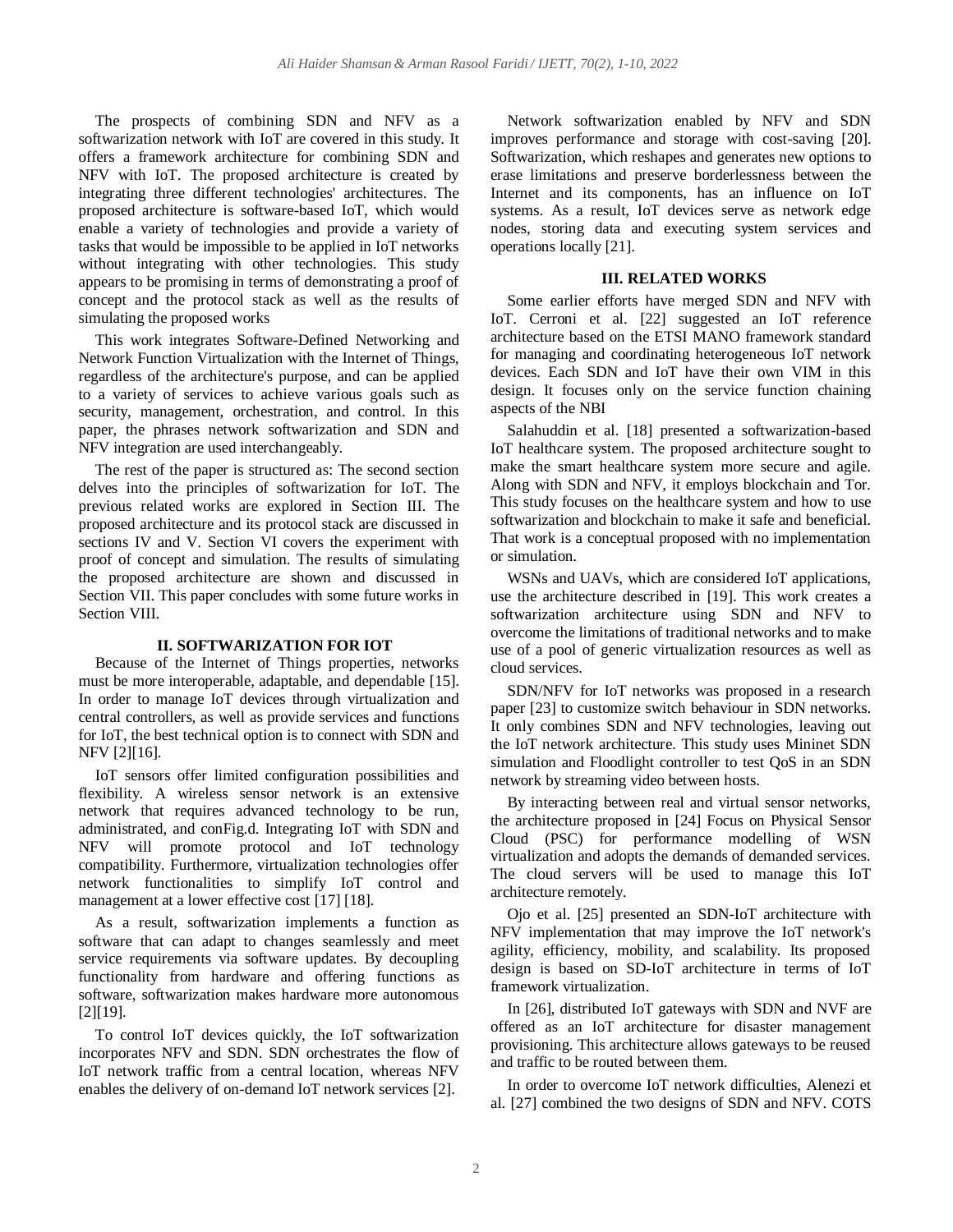The prospects of combining SDN and NFV as a softwarization network with IoT are covered in this study. It offers a framework architecture for combining SDN and NFV with IoT. The proposed architecture is created by integrating three different technologies' architectures. The proposed architecture is software-based IoT, which would enable a variety of technologies and provide a variety of tasks that would be impossible to be applied in IoT networks without integrating with other technologies. This study appears to be promising in terms of demonstrating a proof of concept and the protocol stack as well as the results of simulating the proposed works

This work integrates Software-Defined Networking and Network Function Virtualization with the Internet of Things, regardless of the architecture's purpose, and can be applied to a variety of services to achieve various goals such as security, management, orchestration, and control. In this paper, the phrases network softwarization and SDN and NFV integration are used interchangeably.

The rest of the paper is structured as: The second section delves into the principles of softwarization for IoT. The previous related works are explored in Section III. The proposed architecture and its protocol stack are discussed in sections IV and V. Section VI covers the experiment with proof of concept and simulation. The results of simulating the proposed architecture are shown and discussed in Section VII. This paper concludes with some future works in Section VIII.

## **II. SOFTWARIZATION FOR IOT**

Because of the Internet of Things properties, networks must be more interoperable, adaptable, and dependable [15]. In order to manage IoT devices through virtualization and central controllers, as well as provide services and functions for IoT, the best technical option is to connect with SDN and NFV [2][16].

IoT sensors offer limited configuration possibilities and flexibility. A wireless sensor network is an extensive network that requires advanced technology to be run, administrated, and conFig.d. Integrating IoT with SDN and NFV will promote protocol and IoT technology compatibility. Furthermore, virtualization technologies offer network functionalities to simplify IoT control and management at a lower effective cost [17] [18].

As a result, softwarization implements a function as software that can adapt to changes seamlessly and meet service requirements via software updates. By decoupling functionality from hardware and offering functions as software, softwarization makes hardware more autonomous [2][19].

To control IoT devices quickly, the IoT softwarization incorporates NFV and SDN. SDN orchestrates the flow of IoT network traffic from a central location, whereas NFV enables the delivery of on-demand IoT network services [2].

Network softwarization enabled by NFV and SDN improves performance and storage with cost-saving [20]. Softwarization, which reshapes and generates new options to erase limitations and preserve borderlessness between the Internet and its components, has an influence on IoT systems. As a result, IoT devices serve as network edge nodes, storing data and executing system services and operations locally [21].

## **III. RELATED WORKS**

Some earlier efforts have merged SDN and NFV with IoT. Cerroni et al. [22] suggested an IoT reference architecture based on the ETSI MANO framework standard for managing and coordinating heterogeneous IoT network devices. Each SDN and IoT have their own VIM in this design. It focuses only on the service function chaining aspects of the NBI

Salahuddin et al. [18] presented a softwarization-based IoT healthcare system. The proposed architecture sought to make the smart healthcare system more secure and agile. Along with SDN and NFV, it employs blockchain and Tor. This study focuses on the healthcare system and how to use softwarization and blockchain to make it safe and beneficial. That work is a conceptual proposed with no implementation or simulation.

WSNs and UAVs, which are considered IoT applications, use the architecture described in [19]. This work creates a softwarization architecture using SDN and NFV to overcome the limitations of traditional networks and to make use of a pool of generic virtualization resources as well as cloud services.

SDN/NFV for IoT networks was proposed in a research paper [23] to customize switch behaviour in SDN networks. It only combines SDN and NFV technologies, leaving out the IoT network architecture. This study uses Mininet SDN simulation and Floodlight controller to test QoS in an SDN network by streaming video between hosts.

By interacting between real and virtual sensor networks, the architecture proposed in [24] Focus on Physical Sensor Cloud (PSC) for performance modelling of WSN virtualization and adopts the demands of demanded services. The cloud servers will be used to manage this IoT architecture remotely.

Ojo et al. [25] presented an SDN-IoT architecture with NFV implementation that may improve the IoT network's agility, efficiency, mobility, and scalability. Its proposed design is based on SD-IoT architecture in terms of IoT framework virtualization.

In [26], distributed IoT gateways with SDN and NVF are offered as an IoT architecture for disaster management provisioning. This architecture allows gateways to be reused and traffic to be routed between them.

In order to overcome IoT network difficulties, Alenezi et al. [27] combined the two designs of SDN and NFV. COTS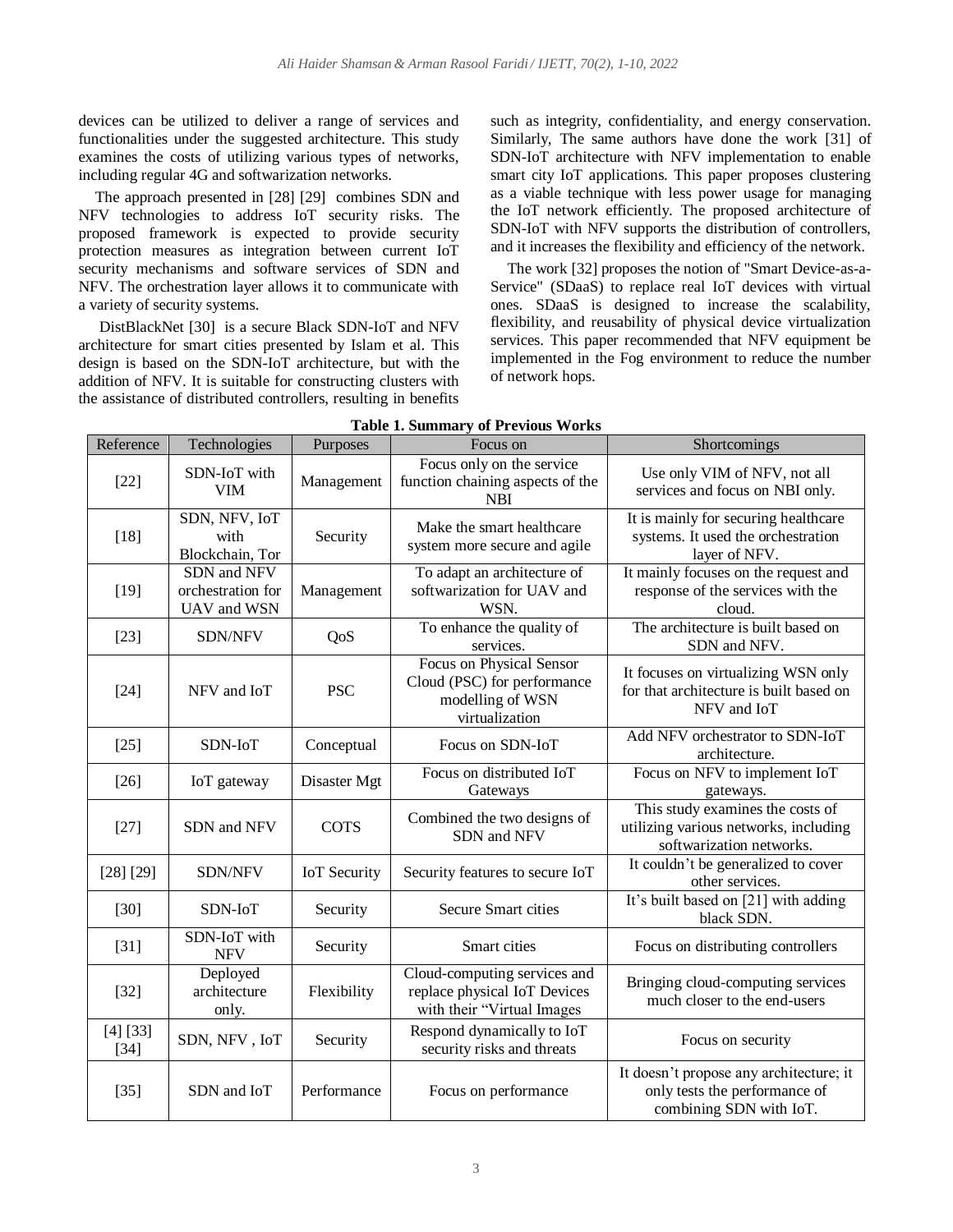devices can be utilized to deliver a range of services and functionalities under the suggested architecture. This study examines the costs of utilizing various types of networks, including regular 4G and softwarization networks.

The approach presented in [28] [29] combines SDN and NFV technologies to address IoT security risks. The proposed framework is expected to provide security protection measures as integration between current IoT security mechanisms and software services of SDN and NFV. The orchestration layer allows it to communicate with a variety of security systems.

DistBlackNet [30] is a secure Black SDN-IoT and NFV architecture for smart cities presented by Islam et al. This design is based on the SDN-IoT architecture, but with the addition of NFV. It is suitable for constructing clusters with the assistance of distributed controllers, resulting in benefits

such as integrity, confidentiality, and energy conservation. Similarly, The same authors have done the work [31] of SDN-IoT architecture with NFV implementation to enable smart city IoT applications. This paper proposes clustering as a viable technique with less power usage for managing the IoT network efficiently. The proposed architecture of SDN-IoT with NFV supports the distribution of controllers, and it increases the flexibility and efficiency of the network.

The work [32] proposes the notion of "Smart Device-as-a-Service" (SDaaS) to replace real IoT devices with virtual ones. SDaaS is designed to increase the scalability, flexibility, and reusability of physical device virtualization services. This paper recommended that NFV equipment be implemented in the Fog environment to reduce the number of network hops.

| Reference          | Technologies                                    | Purposes            | Focus on                                                                                      | Shortcomings                                                                                          |  |
|--------------------|-------------------------------------------------|---------------------|-----------------------------------------------------------------------------------------------|-------------------------------------------------------------------------------------------------------|--|
| $[22]$             | SDN-IoT with<br><b>VIM</b>                      | Management          | Focus only on the service<br>function chaining aspects of the<br><b>NBI</b>                   | Use only VIM of NFV, not all<br>services and focus on NBI only.                                       |  |
| $[18]$             | SDN, NFV, IoT<br>with<br>Blockchain, Tor        | Security            | Make the smart healthcare<br>system more secure and agile                                     | It is mainly for securing healthcare<br>systems. It used the orchestration<br>layer of NFV.           |  |
| $[19]$             | SDN and NFV<br>orchestration for<br>UAV and WSN | Management          | To adapt an architecture of<br>softwarization for UAV and<br>WSN.                             | It mainly focuses on the request and<br>response of the services with the<br>cloud.                   |  |
| $[23]$             | SDN/NFV                                         | QoS                 | To enhance the quality of<br>services.                                                        | The architecture is built based on<br>SDN and NFV.                                                    |  |
| $[24]$             | NFV and IoT                                     | <b>PSC</b>          | Focus on Physical Sensor<br>Cloud (PSC) for performance<br>modelling of WSN<br>virtualization | It focuses on virtualizing WSN only<br>for that architecture is built based on<br>NFV and IoT         |  |
| $[25]$             | SDN-IoT                                         | Conceptual          | Focus on SDN-IoT                                                                              | Add NFV orchestrator to SDN-IoT<br>architecture.                                                      |  |
| $[26]$             | IoT gateway                                     | Disaster Mgt        | Focus on distributed IoT<br>Gateways                                                          | Focus on NFV to implement IoT<br>gateways.                                                            |  |
| $[27]$             | SDN and NFV                                     | <b>COTS</b>         | Combined the two designs of<br>SDN and NFV                                                    | This study examines the costs of<br>utilizing various networks, including<br>softwarization networks. |  |
| [28] [29]          | <b>SDN/NFV</b>                                  | <b>IoT</b> Security | Security features to secure IoT                                                               | It couldn't be generalized to cover<br>other services.                                                |  |
| $[30]$             | SDN-IoT                                         | Security            | <b>Secure Smart cities</b>                                                                    | It's built based on [21] with adding<br>black SDN.                                                    |  |
| $[31]$             | SDN-IoT with<br><b>NFV</b>                      | Security            | Smart cities                                                                                  | Focus on distributing controllers                                                                     |  |
| $[32]$             | Deployed<br>architecture<br>only.               | Flexibility         | Cloud-computing services and<br>replace physical IoT Devices<br>with their "Virtual Images    | Bringing cloud-computing services<br>much closer to the end-users                                     |  |
| [4] [33]<br>$[34]$ | SDN, NFV, IoT                                   | Security            | Respond dynamically to IoT<br>security risks and threats                                      | Focus on security                                                                                     |  |
| $[35]$             | SDN and IoT                                     | Performance         | Focus on performance                                                                          | It doesn't propose any architecture; it<br>only tests the performance of<br>combining SDN with IoT.   |  |

**Table 1. Summary of Previous Works**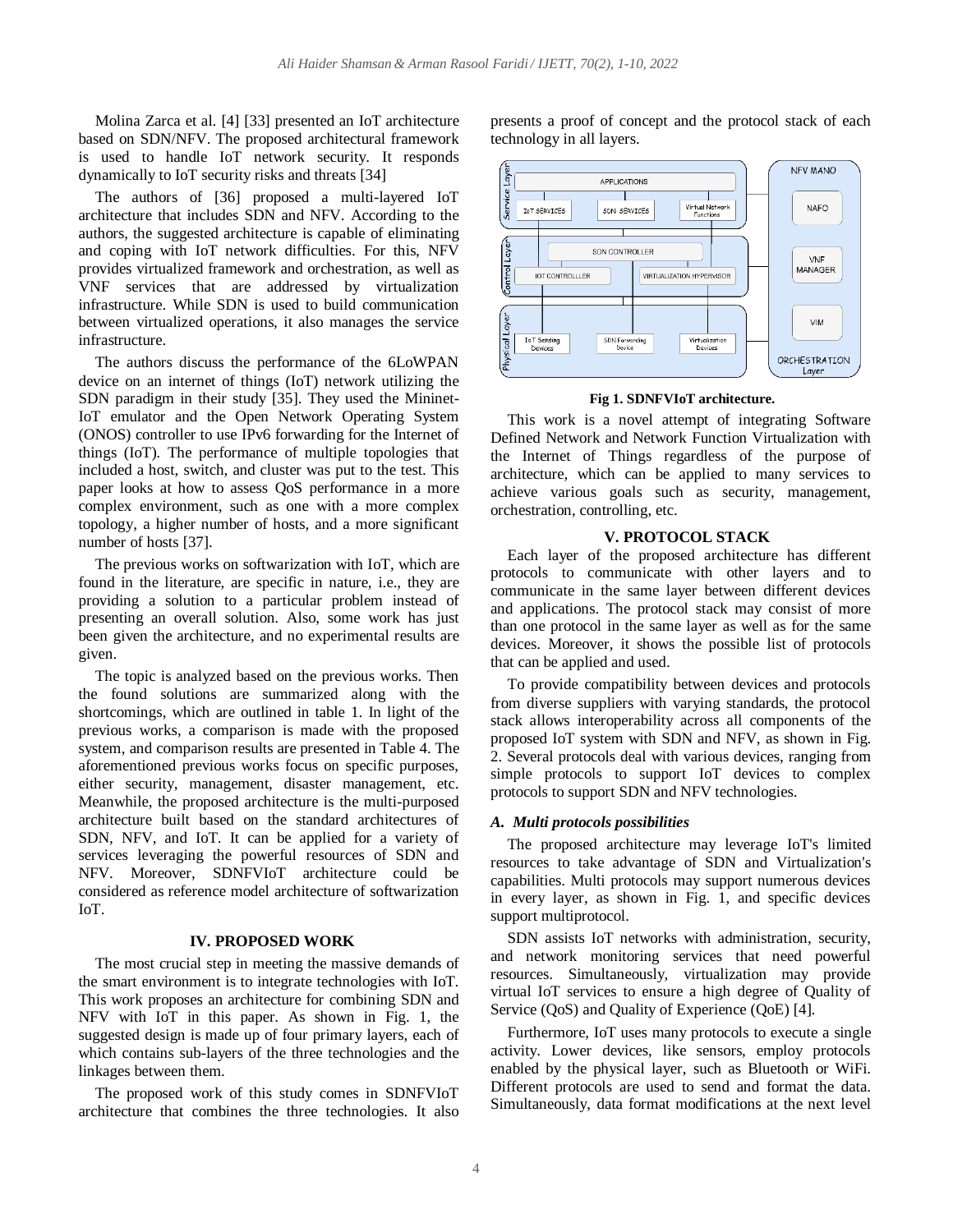Molina Zarca et al. [4] [33] presented an IoT architecture based on SDN/NFV. The proposed architectural framework is used to handle IoT network security. It responds dynamically to IoT security risks and threats [34]

The authors of [36] proposed a multi-layered IoT architecture that includes SDN and NFV. According to the authors, the suggested architecture is capable of eliminating and coping with IoT network difficulties. For this, NFV provides virtualized framework and orchestration, as well as VNF services that are addressed by virtualization infrastructure. While SDN is used to build communication between virtualized operations, it also manages the service infrastructure.

The authors discuss the performance of the 6LoWPAN device on an internet of things (IoT) network utilizing the SDN paradigm in their study [35]. They used the Mininet-IoT emulator and the Open Network Operating System (ONOS) controller to use IPv6 forwarding for the Internet of things (IoT). The performance of multiple topologies that included a host, switch, and cluster was put to the test. This paper looks at how to assess QoS performance in a more complex environment, such as one with a more complex topology, a higher number of hosts, and a more significant number of hosts [37].

The previous works on softwarization with IoT, which are found in the literature, are specific in nature, i.e., they are providing a solution to a particular problem instead of presenting an overall solution. Also, some work has just been given the architecture, and no experimental results are given.

The topic is analyzed based on the previous works. Then the found solutions are summarized along with the shortcomings, which are outlined in table 1. In light of the previous works, a comparison is made with the proposed system, and comparison results are presented in Table 4. The aforementioned previous works focus on specific purposes, either security, management, disaster management, etc. Meanwhile, the proposed architecture is the multi-purposed architecture built based on the standard architectures of SDN, NFV, and IoT. It can be applied for a variety of services leveraging the powerful resources of SDN and NFV. Moreover, SDNFVIoT architecture could be considered as reference model architecture of softwarization IoT.

## **IV. PROPOSED WORK**

The most crucial step in meeting the massive demands of the smart environment is to integrate technologies with IoT. This work proposes an architecture for combining SDN and NFV with IoT in this paper. As shown in Fig. 1, the suggested design is made up of four primary layers, each of which contains sub-layers of the three technologies and the linkages between them.

The proposed work of this study comes in SDNFVIoT architecture that combines the three technologies. It also presents a proof of concept and the protocol stack of each technology in all layers.



#### **Fig 1. SDNFVIoT architecture.**

This work is a novel attempt of integrating Software Defined Network and Network Function Virtualization with the Internet of Things regardless of the purpose of architecture, which can be applied to many services to achieve various goals such as security, management, orchestration, controlling, etc.

## **V. PROTOCOL STACK**

Each layer of the proposed architecture has different protocols to communicate with other layers and to communicate in the same layer between different devices and applications. The protocol stack may consist of more than one protocol in the same layer as well as for the same devices. Moreover, it shows the possible list of protocols that can be applied and used.

To provide compatibility between devices and protocols from diverse suppliers with varying standards, the protocol stack allows interoperability across all components of the proposed IoT system with SDN and NFV, as shown in Fig. 2. Several protocols deal with various devices, ranging from simple protocols to support IoT devices to complex protocols to support SDN and NFV technologies.

#### *A. Multi protocols possibilities*

The proposed architecture may leverage IoT's limited resources to take advantage of SDN and Virtualization's capabilities. Multi protocols may support numerous devices in every layer, as shown in Fig. 1, and specific devices support multiprotocol.

SDN assists IoT networks with administration, security, and network monitoring services that need powerful resources. Simultaneously, virtualization may provide virtual IoT services to ensure a high degree of Quality of Service (QoS) and Quality of Experience (QoE) [4].

Furthermore, IoT uses many protocols to execute a single activity. Lower devices, like sensors, employ protocols enabled by the physical layer, such as Bluetooth or WiFi. Different protocols are used to send and format the data. Simultaneously, data format modifications at the next level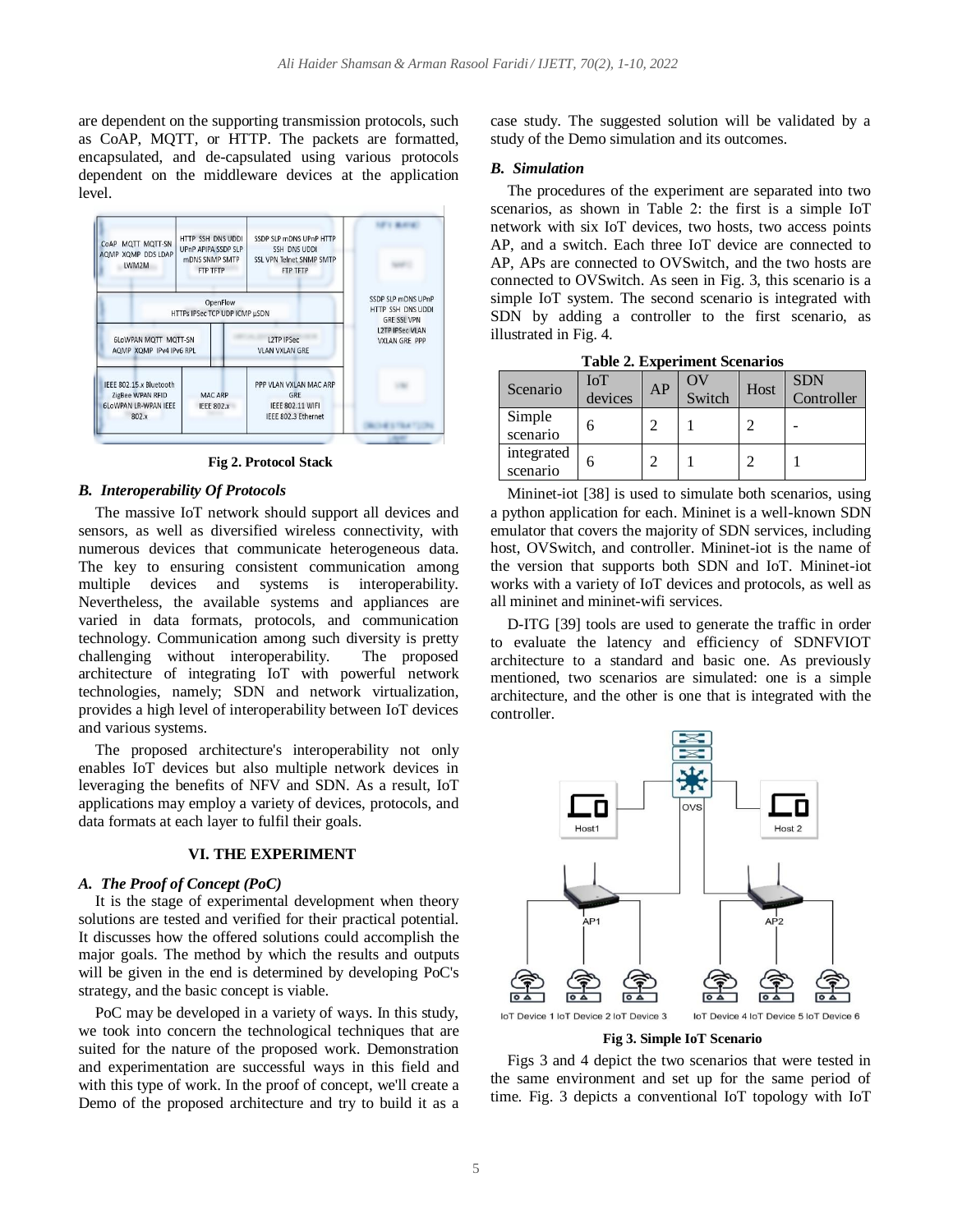are dependent on the supporting transmission protocols, such as CoAP, MQTT, or HTTP. The packets are formatted, encapsulated, and de-capsulated using various protocols dependent on the middleware devices at the application level.



**Fig 2. Protocol Stack**

## *B. Interoperability Of Protocols*

The massive IoT network should support all devices and sensors, as well as diversified wireless connectivity, with numerous devices that communicate heterogeneous data. The key to ensuring consistent communication among multiple devices and systems is interoperability. Nevertheless, the available systems and appliances are varied in data formats, protocols, and communication technology. Communication among such diversity is pretty challenging without interoperability. The proposed architecture of integrating IoT with powerful network technologies, namely; SDN and network virtualization, provides a high level of interoperability between IoT devices and various systems.

The proposed architecture's interoperability not only enables IoT devices but also multiple network devices in leveraging the benefits of NFV and SDN. As a result, IoT applications may employ a variety of devices, protocols, and data formats at each layer to fulfil their goals.

## **VI. THE EXPERIMENT**

#### *A. The Proof of Concept (PoC)*

It is the stage of experimental development when theory solutions are tested and verified for their practical potential. It discusses how the offered solutions could accomplish the major goals. The method by which the results and outputs will be given in the end is determined by developing PoC's strategy, and the basic concept is viable.

PoC may be developed in a variety of ways. In this study, we took into concern the technological techniques that are suited for the nature of the proposed work. Demonstration and experimentation are successful ways in this field and with this type of work. In the proof of concept, we'll create a Demo of the proposed architecture and try to build it as a case study. The suggested solution will be validated by a study of the Demo simulation and its outcomes.

#### *B. Simulation*

The procedures of the experiment are separated into two scenarios, as shown in Table 2: the first is a simple IoT network with six IoT devices, two hosts, two access points AP, and a switch. Each three IoT device are connected to AP, APs are connected to OVSwitch, and the two hosts are connected to OVSwitch. As seen in Fig. 3, this scenario is a simple IoT system. The second scenario is integrated with SDN by adding a controller to the first scenario, as illustrated in Fig. 4.

| Scenario               | IoT<br>devices | AP | W<br>Switch | Host | <b>SDN</b><br>Controller |
|------------------------|----------------|----|-------------|------|--------------------------|
| Simple<br>scenario     | h              |    |             |      |                          |
| integrated<br>scenario | 6              |    |             |      |                          |

**Table 2. Experiment Scenarios**

Mininet-iot [38] is used to simulate both scenarios, using a python application for each. Mininet is a well-known SDN emulator that covers the majority of SDN services, including host, OVSwitch, and controller. Mininet-iot is the name of the version that supports both SDN and IoT. Mininet-iot works with a variety of IoT devices and protocols, as well as all mininet and mininet-wifi services.

D-ITG [39] tools are used to generate the traffic in order to evaluate the latency and efficiency of SDNFVIOT architecture to a standard and basic one. As previously mentioned, two scenarios are simulated: one is a simple architecture, and the other is one that is integrated with the controller.



#### **Fig 3. Simple IoT Scenario**

Figs 3 and 4 depict the two scenarios that were tested in the same environment and set up for the same period of time. Fig. 3 depicts a conventional IoT topology with IoT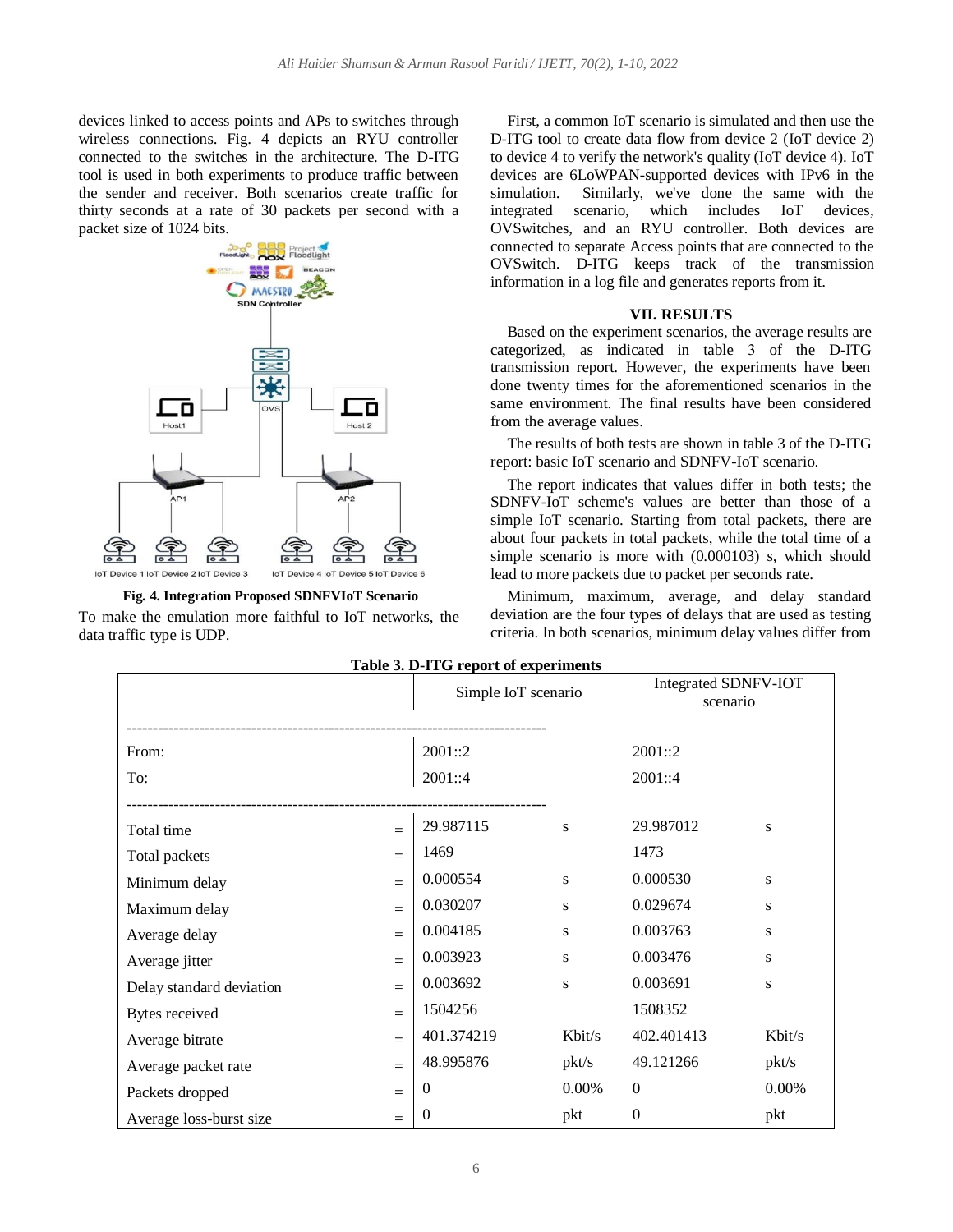devices linked to access points and APs to switches through wireless connections. Fig. 4 depicts an RYU controller connected to the switches in the architecture. The D-ITG tool is used in both experiments to produce traffic between the sender and receiver. Both scenarios create traffic for thirty seconds at a rate of 30 packets per second with a packet size of 1024 bits.



**Fig. 4. Integration Proposed SDNFVIoT Scenario** To make the emulation more faithful to IoT networks, the data traffic type is UDP.

First, a common IoT scenario is simulated and then use the D-ITG tool to create data flow from device 2 (IoT device 2) to device 4 to verify the network's quality (IoT device 4). IoT devices are 6LoWPAN-supported devices with IPv6 in the simulation. Similarly, we've done the same with the integrated scenario, which includes IoT devices, OVSwitches, and an RYU controller. Both devices are connected to separate Access points that are connected to the OVSwitch. D-ITG keeps track of the transmission information in a log file and generates reports from it.

## **VII. RESULTS**

Based on the experiment scenarios, the average results are categorized, as indicated in table 3 of the D-ITG transmission report. However, the experiments have been done twenty times for the aforementioned scenarios in the same environment. The final results have been considered from the average values.

The results of both tests are shown in table 3 of the D-ITG report: basic IoT scenario and SDNFV-IoT scenario.

The report indicates that values differ in both tests; the SDNFV-IoT scheme's values are better than those of a simple IoT scenario. Starting from total packets, there are about four packets in total packets, while the total time of a simple scenario is more with (0.000103) s, which should lead to more packets due to packet per seconds rate.

Minimum, maximum, average, and delay standard deviation are the four types of delays that are used as testing criteria. In both scenarios, minimum delay values differ from

| Table 5. D-11 G Teport of experiments |     |                     |        |                                         |        |  |  |
|---------------------------------------|-----|---------------------|--------|-----------------------------------------|--------|--|--|
|                                       |     | Simple IoT scenario |        | <b>Integrated SDNFV-IOT</b><br>scenario |        |  |  |
|                                       |     |                     |        |                                         |        |  |  |
|                                       |     |                     |        |                                         |        |  |  |
| From:                                 |     | 2001::2             |        | 2001::2                                 |        |  |  |
| To:                                   |     | 2001::4             |        | 2001::4                                 |        |  |  |
|                                       |     |                     |        |                                         |        |  |  |
| Total time                            | $=$ | 29.987115           | S      | 29.987012                               | S      |  |  |
| Total packets                         | $=$ | 1469                |        | 1473                                    |        |  |  |
| Minimum delay                         | $=$ | 0.000554            | S      | 0.000530                                | S      |  |  |
| Maximum delay                         | $=$ | 0.030207            | S      | 0.029674                                | S      |  |  |
| Average delay                         | $=$ | 0.004185            | S      | 0.003763                                | S      |  |  |
| Average jitter                        | $=$ | 0.003923            | S      | 0.003476                                | S      |  |  |
| Delay standard deviation              | $=$ | 0.003692            | S      | 0.003691                                | S      |  |  |
| Bytes received                        | $=$ | 1504256             |        | 1508352                                 |        |  |  |
| Average bitrate                       | $=$ | 401.374219          | Kbit/s | 402.401413                              | Kbit/s |  |  |
| Average packet rate                   | $=$ | 48.995876           | pkt/s  | 49.121266                               | pkt/s  |  |  |
| Packets dropped                       | $=$ | $\mathbf{0}$        | 0.00%  | $\overline{0}$                          | 0.00%  |  |  |
| Average loss-burst size               | $=$ | $\boldsymbol{0}$    | pkt    | $\boldsymbol{0}$                        | pkt    |  |  |

**Table 3. D-ITG report of experiments**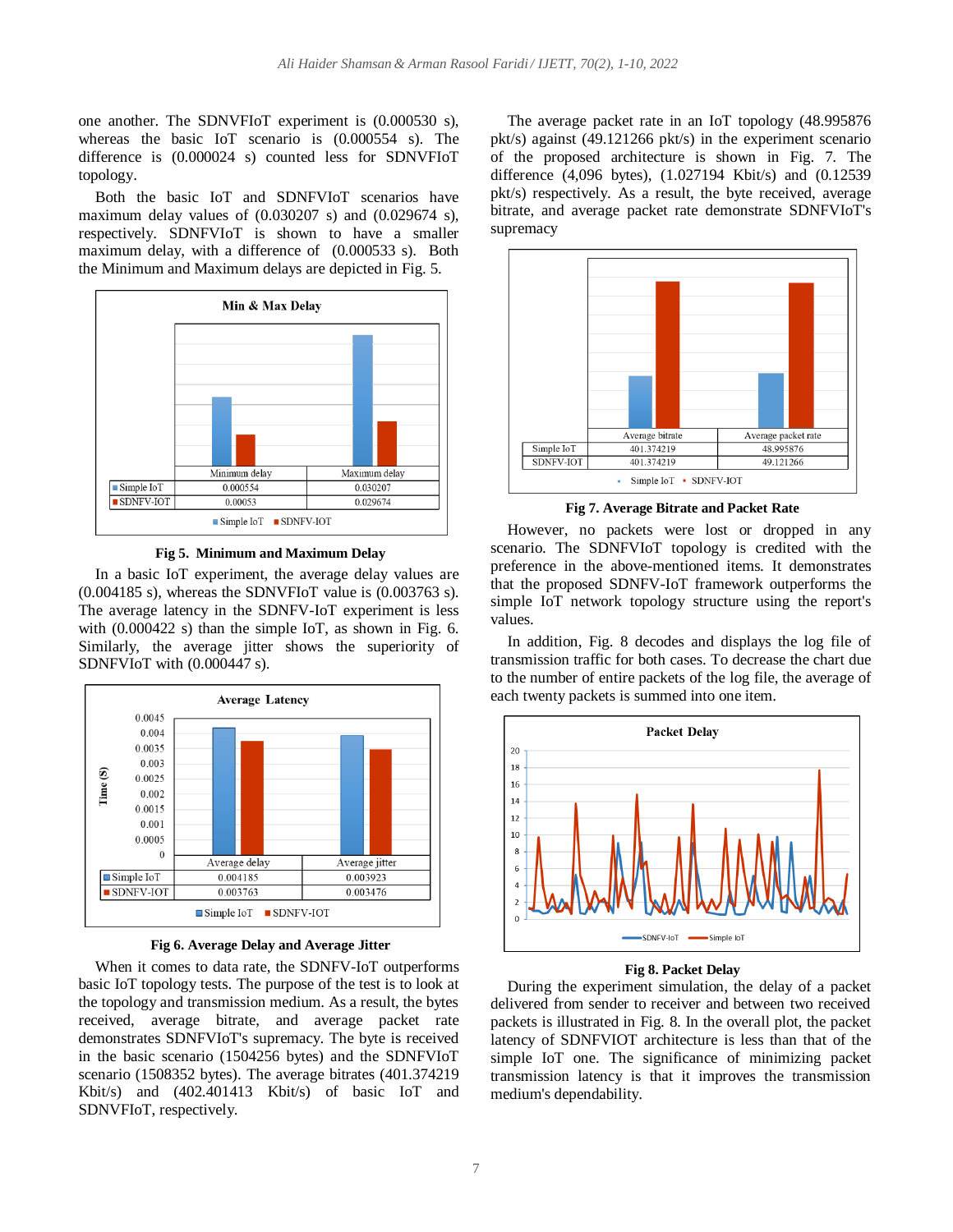one another. The SDNVFIoT experiment is (0.000530 s), whereas the basic IoT scenario is (0.000554 s). The difference is (0.000024 s) counted less for SDNVFIoT topology.

Both the basic IoT and SDNFVIoT scenarios have maximum delay values of (0.030207 s) and (0.029674 s), respectively. SDNFVIoT is shown to have a smaller maximum delay, with a difference of (0.000533 s). Both the Minimum and Maximum delays are depicted in Fig. 5.



**Fig 5. Minimum and Maximum Delay**

In a basic IoT experiment, the average delay values are  $(0.004185 \text{ s})$ , whereas the SDNVFIoT value is  $(0.003763 \text{ s})$ . The average latency in the SDNFV-IoT experiment is less with (0.000422 s) than the simple IoT, as shown in Fig. 6. Similarly, the average jitter shows the superiority of SDNFVIoT with (0.000447 s).



**Fig 6. Average Delay and Average Jitter**

When it comes to data rate, the SDNFV-IoT outperforms basic IoT topology tests. The purpose of the test is to look at the topology and transmission medium. As a result, the bytes received, average bitrate, and average packet rate demonstrates SDNFVIoT's supremacy. The byte is received in the basic scenario (1504256 bytes) and the SDNFVIoT scenario (1508352 bytes). The average bitrates (401.374219 Kbit/s) and (402.401413 Kbit/s) of basic IoT and SDNVFIoT, respectively.

The average packet rate in an IoT topology (48.995876 pkt/s) against (49.121266 pkt/s) in the experiment scenario of the proposed architecture is shown in Fig. 7. The difference (4,096 bytes), (1.027194 Kbit/s) and (0.12539 pkt/s) respectively. As a result, the byte received, average bitrate, and average packet rate demonstrate SDNFVIoT's supremacy



**Fig 7. Average Bitrate and Packet Rate**

However, no packets were lost or dropped in any scenario. The SDNFVIoT topology is credited with the preference in the above-mentioned items. It demonstrates that the proposed SDNFV-IoT framework outperforms the simple IoT network topology structure using the report's values.

In addition, Fig. 8 decodes and displays the log file of transmission traffic for both cases. To decrease the chart due to the number of entire packets of the log file, the average of each twenty packets is summed into one item.



**Fig 8. Packet Delay**

During the experiment simulation, the delay of a packet delivered from sender to receiver and between two received packets is illustrated in Fig. 8. In the overall plot, the packet latency of SDNFVIOT architecture is less than that of the simple IoT one. The significance of minimizing packet transmission latency is that it improves the transmission medium's dependability.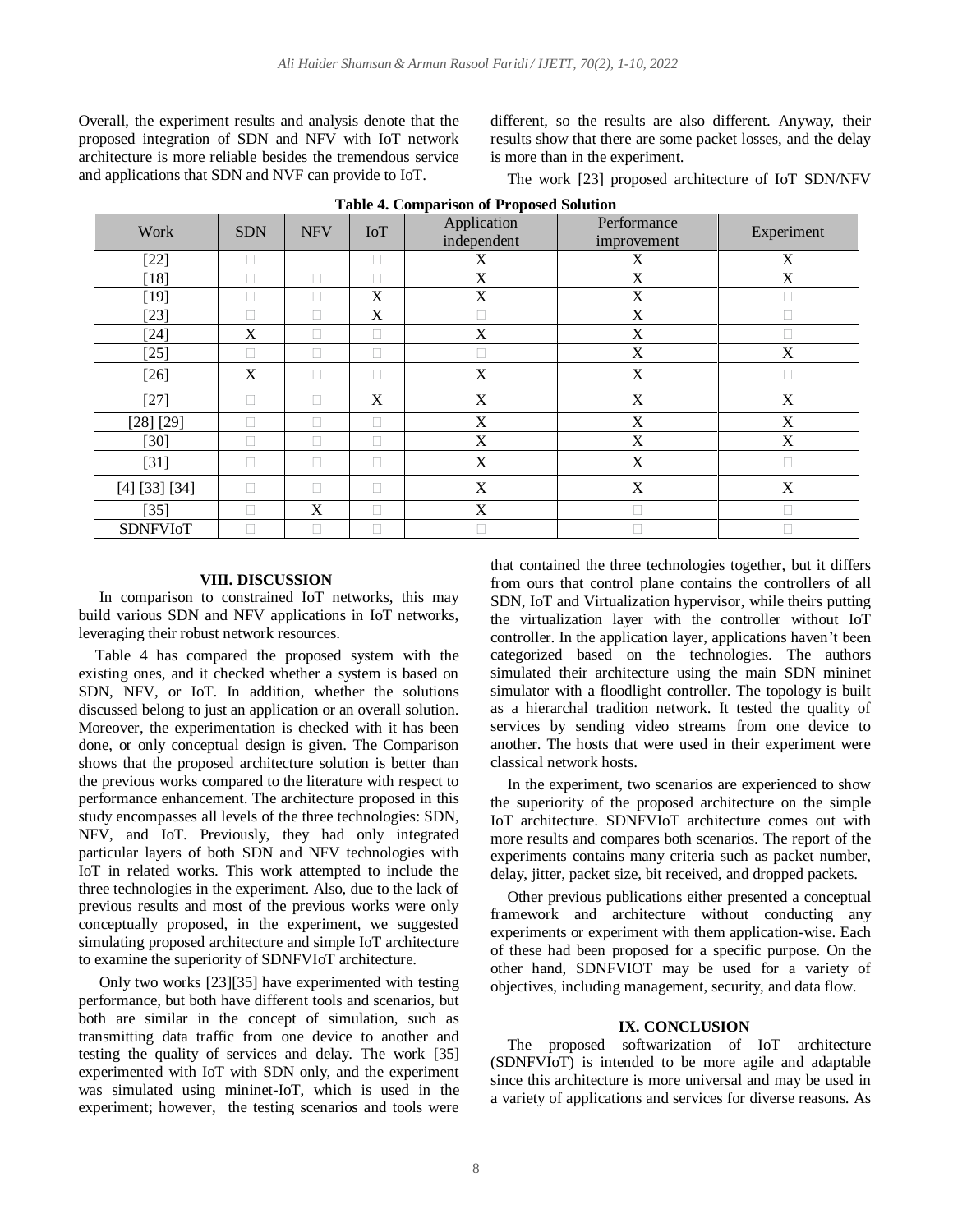Overall, the experiment results and analysis denote that the proposed integration of SDN and NFV with IoT network architecture is more reliable besides the tremendous service and applications that SDN and NVF can provide to IoT.

different, so the results are also different. Anyway, their results show that there are some packet losses, and the delay is more than in the experiment.

The work [23] proposed architecture of IoT SDN/NFV

| Work            | <b>SDN</b>   | <b>NFV</b> | IoT    | Application<br>independent | Performance<br>improvement | Experiment |
|-----------------|--------------|------------|--------|----------------------------|----------------------------|------------|
| $[22]$          | П            |            | П      | X                          | X                          | X          |
| $[18]$          |              | П          | Г      | X                          | X                          | X          |
| $[19]$          |              |            | X      | X                          | X                          |            |
| $[23]$          |              |            | X      |                            | X                          |            |
| $[24]$          | X            |            | $\Box$ | X                          | X                          |            |
| $[25]$          |              |            | П      |                            | X                          | X          |
| $[26]$          | X            | $\Box$     | $\Box$ | X                          | X                          | П          |
| $[27]$          |              | П          | X      | X                          | X                          | X          |
| [28] [29]       |              |            |        | X                          | X                          | X          |
| $[30]$          | $\mathbf{L}$ | $\Box$     | $\Box$ | X                          | X                          | X          |
| $[31]$          |              | П          | П      | X                          | X                          |            |
| [4] [33] [34]   | П            | $\Box$     | $\Box$ | $\mathbf X$                | X                          | X          |
| $[35]$          |              | X          | Г      | X                          |                            |            |
| <b>SDNFVIoT</b> |              |            | Г      |                            |                            |            |

**Table 4. Comparison of Proposed Solution**

## **VIII. DISCUSSION**

In comparison to constrained IoT networks, this may build various SDN and NFV applications in IoT networks, leveraging their robust network resources.

Table 4 has compared the proposed system with the existing ones, and it checked whether a system is based on SDN, NFV, or IoT. In addition, whether the solutions discussed belong to just an application or an overall solution. Moreover, the experimentation is checked with it has been done, or only conceptual design is given. The Comparison shows that the proposed architecture solution is better than the previous works compared to the literature with respect to performance enhancement. The architecture proposed in this study encompasses all levels of the three technologies: SDN, NFV, and IoT. Previously, they had only integrated particular layers of both SDN and NFV technologies with IoT in related works. This work attempted to include the three technologies in the experiment. Also, due to the lack of previous results and most of the previous works were only conceptually proposed, in the experiment, we suggested simulating proposed architecture and simple IoT architecture to examine the superiority of SDNFVIoT architecture.

Only two works [23][35] have experimented with testing performance, but both have different tools and scenarios, but both are similar in the concept of simulation, such as transmitting data traffic from one device to another and testing the quality of services and delay. The work [35] experimented with IoT with SDN only, and the experiment was simulated using mininet-IoT, which is used in the experiment; however, the testing scenarios and tools were

that contained the three technologies together, but it differs from ours that control plane contains the controllers of all SDN, IoT and Virtualization hypervisor, while theirs putting the virtualization layer with the controller without IoT controller. In the application layer, applications haven't been categorized based on the technologies. The authors simulated their architecture using the main SDN mininet simulator with a floodlight controller. The topology is built as a hierarchal tradition network. It tested the quality of services by sending video streams from one device to another. The hosts that were used in their experiment were classical network hosts.

In the experiment, two scenarios are experienced to show the superiority of the proposed architecture on the simple IoT architecture. SDNFVIoT architecture comes out with more results and compares both scenarios. The report of the experiments contains many criteria such as packet number, delay, jitter, packet size, bit received, and dropped packets.

Other previous publications either presented a conceptual framework and architecture without conducting any experiments or experiment with them application-wise. Each of these had been proposed for a specific purpose. On the other hand, SDNFVIOT may be used for a variety of objectives, including management, security, and data flow.

## **IX. CONCLUSION**

The proposed softwarization of IoT architecture (SDNFVIoT) is intended to be more agile and adaptable since this architecture is more universal and may be used in a variety of applications and services for diverse reasons. As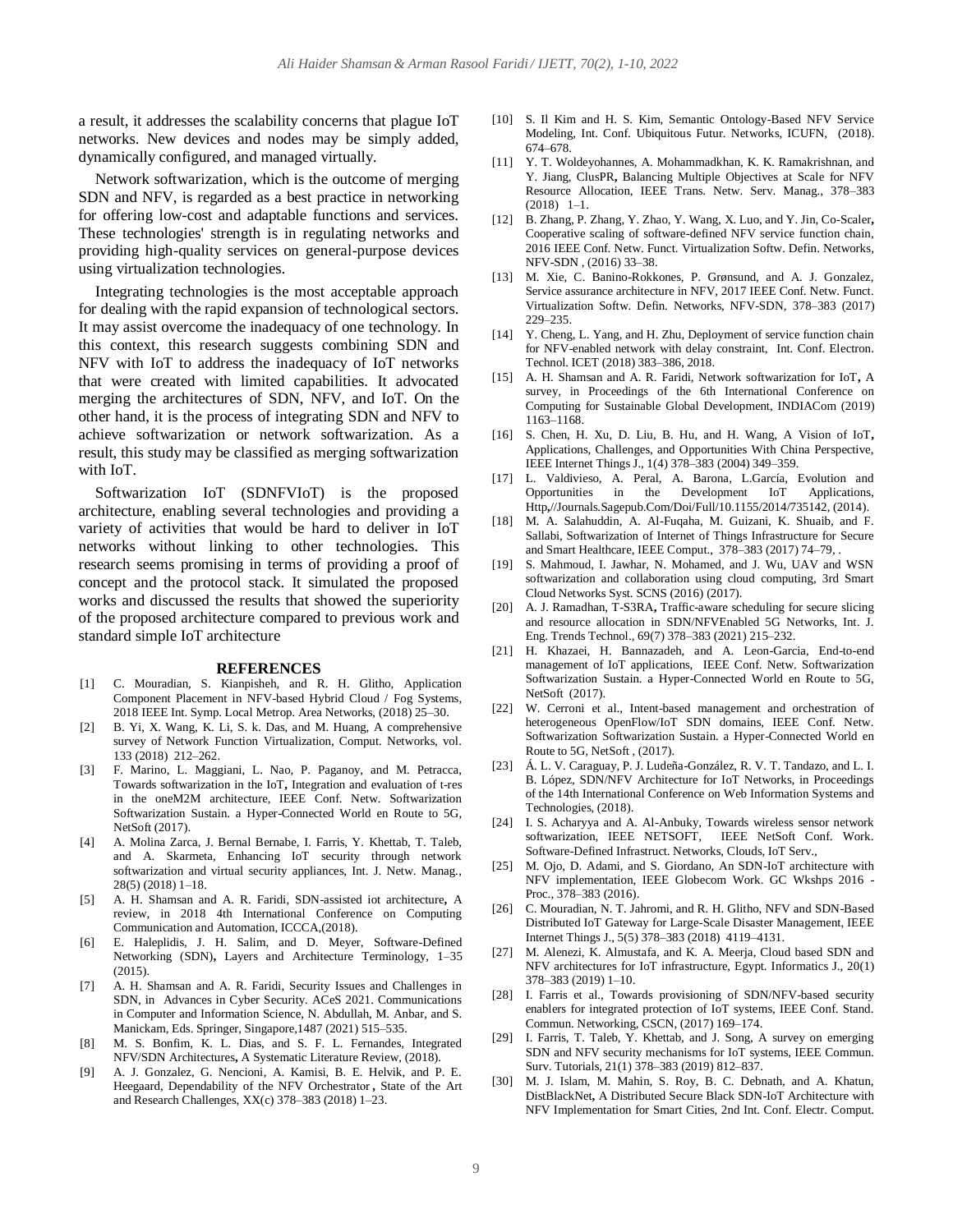a result, it addresses the scalability concerns that plague IoT networks. New devices and nodes may be simply added, dynamically configured, and managed virtually.

Network softwarization, which is the outcome of merging SDN and NFV, is regarded as a best practice in networking for offering low-cost and adaptable functions and services. These technologies' strength is in regulating networks and providing high-quality services on general-purpose devices using virtualization technologies.

Integrating technologies is the most acceptable approach for dealing with the rapid expansion of technological sectors. It may assist overcome the inadequacy of one technology. In this context, this research suggests combining SDN and NFV with IoT to address the inadequacy of IoT networks that were created with limited capabilities. It advocated merging the architectures of SDN, NFV, and IoT. On the other hand, it is the process of integrating SDN and NFV to achieve softwarization or network softwarization. As a result, this study may be classified as merging softwarization with IoT.

Softwarization IoT (SDNFVIoT) is the proposed architecture, enabling several technologies and providing a variety of activities that would be hard to deliver in IoT networks without linking to other technologies. This research seems promising in terms of providing a proof of concept and the protocol stack. It simulated the proposed works and discussed the results that showed the superiority of the proposed architecture compared to previous work and standard simple IoT architecture

#### **REFERENCES**

- [1] C. Mouradian, S. Kianpisheh, and R. H. Glitho, Application Component Placement in NFV-based Hybrid Cloud / Fog Systems, 2018 IEEE Int. Symp. Local Metrop. Area Networks, (2018) 25–30.
- [2] B. Yi, X. Wang, K. Li, S. k. Das, and M. Huang, A comprehensive survey of Network Function Virtualization, Comput. Networks, vol. 133 (2018) 212–262.
- [3] F. Marino, L. Maggiani, L. Nao, P. Paganoy, and M. Petracca, Towards softwarization in the IoT**,** Integration and evaluation of t-res in the oneM2M architecture, IEEE Conf. Netw. Softwarization Softwarization Sustain. a Hyper-Connected World en Route to 5G, NetSoft (2017).
- [4] A. Molina Zarca, J. Bernal Bernabe, I. Farris, Y. Khettab, T. Taleb, and A. Skarmeta, Enhancing IoT security through network softwarization and virtual security appliances, Int. J. Netw. Manag., 28(5) (2018) 1–18.
- [5] A. H. Shamsan and A. R. Faridi, SDN-assisted iot architecture**,** A review, in 2018 4th International Conference on Computing Communication and Automation, ICCCA,(2018).
- [6] E. Haleplidis, J. H. Salim, and D. Meyer, Software-Defined Networking (SDN)**,** Layers and Architecture Terminology, 1–35 (2015).
- [7] A. H. Shamsan and A. R. Faridi, Security Issues and Challenges in SDN, in Advances in Cyber Security. ACeS 2021. Communications in Computer and Information Science, N. Abdullah, M. Anbar, and S. Manickam, Eds. Springer, Singapore,1487 (2021) 515–535.
- [8] M. S. Bonfim, K. L. Dias, and S. F. L. Fernandes, Integrated NFV/SDN Architectures**,** A Systematic Literature Review, (2018).
- [9] A. J. Gonzalez, G. Nencioni, A. Kamisi, B. E. Helvik, and P. E. Heegaard, Dependability of the NFV Orchestrator **,** State of the Art and Research Challenges, XX(c) 378–383 (2018) 1–23.
- [10] S. Il Kim and H. S. Kim, Semantic Ontology-Based NFV Service Modeling, Int. Conf. Ubiquitous Futur. Networks, ICUFN, (2018). 674–678.
- [11] Y. T. Woldeyohannes, A. Mohammadkhan, K. K. Ramakrishnan, and Y. Jiang, ClusPR**,** Balancing Multiple Objectives at Scale for NFV Resource Allocation, IEEE Trans. Netw. Serv. Manag., 378–383 (2018) 1–1.
- [12] B. Zhang, P. Zhang, Y. Zhao, Y. Wang, X. Luo, and Y. Jin, Co-Scaler**,** Cooperative scaling of software-defined NFV service function chain, 2016 IEEE Conf. Netw. Funct. Virtualization Softw. Defin. Networks, NFV-SDN , (2016) 33–38.
- [13] M. Xie, C. Banino-Rokkones, P. Grønsund, and A. J. Gonzalez, Service assurance architecture in NFV, 2017 IEEE Conf. Netw. Funct. Virtualization Softw. Defin. Networks, NFV-SDN, 378–383 (2017) 229–235.
- [14] Y. Cheng, L. Yang, and H. Zhu, Deployment of service function chain for NFV-enabled network with delay constraint, Int. Conf. Electron. Technol. ICET (2018) 383–386, 2018.
- [15] A. H. Shamsan and A. R. Faridi, Network softwarization for IoT**,** A survey, in Proceedings of the 6th International Conference on Computing for Sustainable Global Development, INDIACom (2019) 1163–1168.
- [16] S. Chen, H. Xu, D. Liu, B. Hu, and H. Wang, A Vision of IoT**,** Applications, Challenges, and Opportunities With China Perspective, IEEE Internet Things J., 1(4) 378–383 (2004) 349–359.
- [17] L. Valdivieso, A. Peral, A. Barona, L.García, Evolution and Opportunities in the Development IoT Applications, Http**,**//Journals.Sagepub.Com/Doi/Full/10.1155/2014/735142, (2014).
- [18] M. A. Salahuddin, A. Al-Fuqaha, M. Guizani, K. Shuaib, and F. Sallabi, Softwarization of Internet of Things Infrastructure for Secure and Smart Healthcare, IEEE Comput., 378–383 (2017) 74–79, .
- [19] S. Mahmoud, I. Jawhar, N. Mohamed, and J. Wu, UAV and WSN softwarization and collaboration using cloud computing, 3rd Smart Cloud Networks Syst. SCNS (2016) (2017).
- [20] A. J. Ramadhan, T-S3RA**,** Traffic-aware scheduling for secure slicing and resource allocation in SDN/NFVEnabled 5G Networks, Int. J. Eng. Trends Technol., 69(7) 378–383 (2021) 215–232.
- [21] H. Khazaei, H. Bannazadeh, and A. Leon-Garcia, End-to-end management of IoT applications, IEEE Conf. Netw. Softwarization Softwarization Sustain. a Hyper-Connected World en Route to 5G, NetSoft (2017).
- [22] W. Cerroni et al., Intent-based management and orchestration of heterogeneous OpenFlow/IoT SDN domains, IEEE Conf. Netw. Softwarization Softwarization Sustain. a Hyper-Connected World en Route to 5G, NetSoft , (2017).
- [23] Á. L. V. Caraguay, P. J. Ludeña-González, R. V. T. Tandazo, and L. I. B. López, SDN/NFV Architecture for IoT Networks, in Proceedings of the 14th International Conference on Web Information Systems and Technologies, (2018).
- [24] I. S. Acharyya and A. Al-Anbuky, Towards wireless sensor network softwarization, IEEE NETSOFT, IEEE NetSoft Conf. Work. Software-Defined Infrastruct. Networks, Clouds, IoT Serv.,
- M. Ojo, D. Adami, and S. Giordano, An SDN-IoT architecture with NFV implementation, IEEE Globecom Work. GC Wkshps 2016 - Proc., 378–383 (2016).
- [26] C. Mouradian, N. T. Jahromi, and R. H. Glitho, NFV and SDN-Based Distributed IoT Gateway for Large-Scale Disaster Management, IEEE Internet Things J., 5(5) 378–383 (2018) 4119–4131.
- [27] M. Alenezi, K. Almustafa, and K. A. Meerja, Cloud based SDN and NFV architectures for IoT infrastructure, Egypt. Informatics J., 20(1) 378–383 (2019) 1–10.
- [28] I. Farris et al., Towards provisioning of SDN/NFV-based security enablers for integrated protection of IoT systems, IEEE Conf. Stand. Commun. Networking, CSCN, (2017) 169–174.
- [29] I. Farris, T. Taleb, Y. Khettab, and J. Song, A survey on emerging SDN and NFV security mechanisms for IoT systems, IEEE Commun. Surv. Tutorials, 21(1) 378–383 (2019) 812–837.
- [30] M. J. Islam, M. Mahin, S. Roy, B. C. Debnath, and A. Khatun, DistBlackNet**,** A Distributed Secure Black SDN-IoT Architecture with NFV Implementation for Smart Cities, 2nd Int. Conf. Electr. Comput.